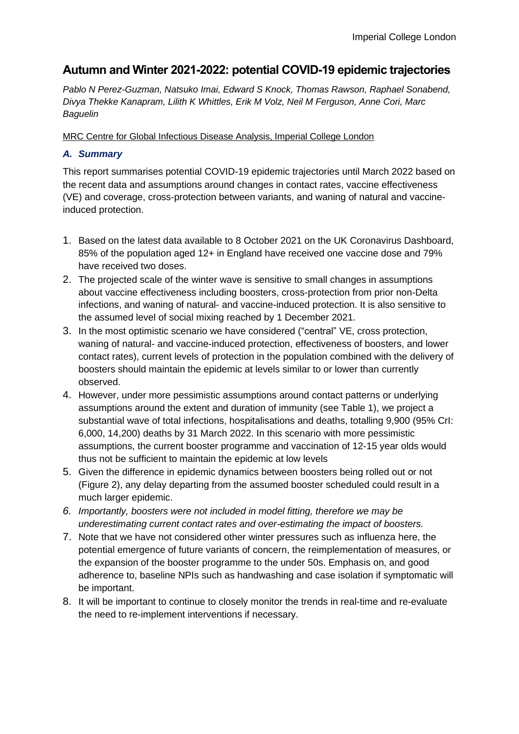# **Autumn and Winter 2021-2022: potential COVID-19 epidemic trajectories**

*Pablo N Perez-Guzman, Natsuko Imai, Edward S Knock, Thomas Rawson, Raphael Sonabend, Divya Thekke Kanapram, Lilith K Whittles, Erik M Volz, Neil M Ferguson, Anne Cori, Marc Baguelin*

MRC Centre for Global Infectious Disease Analysis, Imperial College London

# *A. Summary*

This report summarises potential COVID-19 epidemic trajectories until March 2022 based on the recent data and assumptions around changes in contact rates, vaccine effectiveness (VE) and coverage, cross-protection between variants, and waning of natural and vaccineinduced protection.

- 1. Based on the latest data available to 8 October 2021 on the UK Coronavirus Dashboard, 85% of the population aged 12+ in England have received one vaccine dose and 79% have received two doses.
- 2. The projected scale of the winter wave is sensitive to small changes in assumptions about vaccine effectiveness including boosters, cross-protection from prior non-Delta infections, and waning of natural- and vaccine-induced protection. It is also sensitive to the assumed level of social mixing reached by 1 December 2021.
- 3. In the most optimistic scenario we have considered ("central" VE, cross protection, waning of natural- and vaccine-induced protection, effectiveness of boosters, and lower contact rates), current levels of protection in the population combined with the delivery of boosters should maintain the epidemic at levels similar to or lower than currently observed.
- 4. However, under more pessimistic assumptions around contact patterns or underlying assumptions around the extent and duration of immunity (see Table 1), we project a substantial wave of total infections, hospitalisations and deaths, totalling 9,900 (95% CrI: 6,000, 14,200) deaths by 31 March 2022. In this scenario with more pessimistic assumptions, the current booster programme and vaccination of 12-15 year olds would thus not be sufficient to maintain the epidemic at low levels
- 5. Given the difference in epidemic dynamics between boosters being rolled out or not (Figure 2), any delay departing from the assumed booster scheduled could result in a much larger epidemic.
- *6. Importantly, boosters were not included in model fitting, therefore we may be underestimating current contact rates and over-estimating the impact of boosters.*
- 7. Note that we have not considered other winter pressures such as influenza here, the potential emergence of future variants of concern, the reimplementation of measures, or the expansion of the booster programme to the under 50s. Emphasis on, and good adherence to, baseline NPIs such as handwashing and case isolation if symptomatic will be important.
- 8. It will be important to continue to closely monitor the trends in real-time and re-evaluate the need to re-implement interventions if necessary.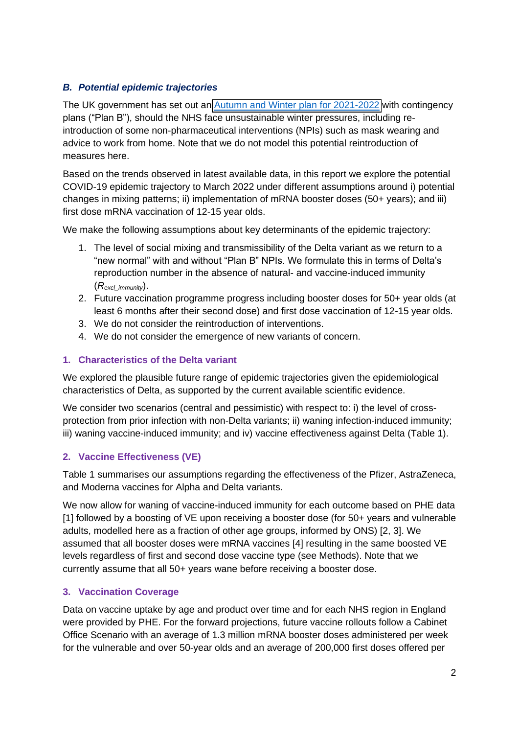## *B. Potential epidemic trajectories*

The UK government has set out an [Autumn and Winter plan for 2021-2022](https://www.gov.uk/government/publications/covid-19-response-autumn-and-winter-plan-2021/covid-19-response-autumn-and-winter-plan-2021) with contingency plans ("Plan B"), should the NHS face unsustainable winter pressures, including reintroduction of some non-pharmaceutical interventions (NPIs) such as mask wearing and advice to work from home. Note that we do not model this potential reintroduction of measures here.

Based on the trends observed in latest available data, in this report we explore the potential COVID-19 epidemic trajectory to March 2022 under different assumptions around i) potential changes in mixing patterns; ii) implementation of mRNA booster doses (50+ years); and iii) first dose mRNA vaccination of 12-15 year olds.

We make the following assumptions about key determinants of the epidemic trajectory:

- 1. The level of social mixing and transmissibility of the Delta variant as we return to a "new normal" with and without "Plan B" NPIs. We formulate this in terms of Delta's reproduction number in the absence of natural- and vaccine-induced immunity (*Rexcl\_immunity*).
- 2. Future vaccination programme progress including booster doses for 50+ year olds (at least 6 months after their second dose) and first dose vaccination of 12-15 year olds.
- 3. We do not consider the reintroduction of interventions.
- 4. We do not consider the emergence of new variants of concern.

### **1. Characteristics of the Delta variant**

We explored the plausible future range of epidemic trajectories given the epidemiological characteristics of Delta, as supported by the current available scientific evidence.

We consider two scenarios (central and pessimistic) with respect to: i) the level of crossprotection from prior infection with non-Delta variants; ii) waning infection-induced immunity; iii) waning vaccine-induced immunity; and iv) vaccine effectiveness against Delta (Table 1).

# **2. Vaccine Effectiveness (VE)**

Table 1 summarises our assumptions regarding the effectiveness of the Pfizer, AstraZeneca, and Moderna vaccines for Alpha and Delta variants.

We now allow for waning of vaccine-induced immunity for each outcome based on PHE data [1] followed by a boosting of VE upon receiving a booster dose (for 50+ years and vulnerable adults, modelled here as a fraction of other age groups, informed by ONS) [2, 3]. We assumed that all booster doses were mRNA vaccines [4] resulting in the same boosted VE levels regardless of first and second dose vaccine type (see Methods). Note that we currently assume that all 50+ years wane before receiving a booster dose.

# **3. Vaccination Coverage**

Data on vaccine uptake by age and product over time and for each NHS region in England were provided by PHE. For the forward projections, future vaccine rollouts follow a Cabinet Office Scenario with an average of 1.3 million mRNA booster doses administered per week for the vulnerable and over 50-year olds and an average of 200,000 first doses offered per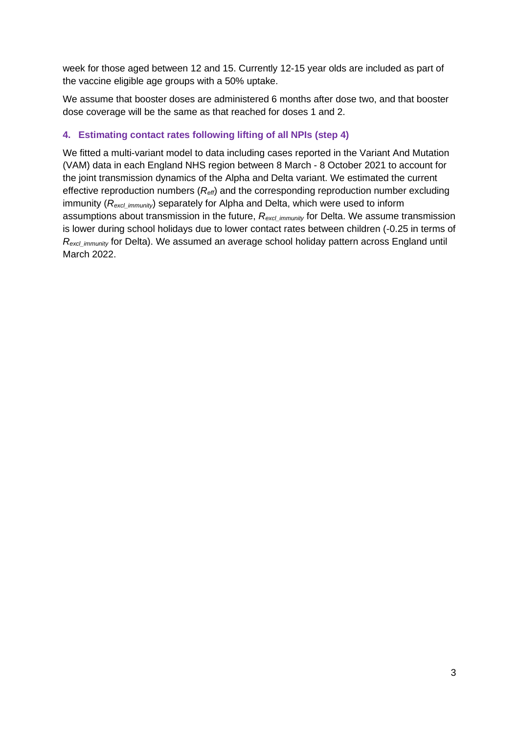week for those aged between 12 and 15. Currently 12-15 year olds are included as part of the vaccine eligible age groups with a 50% uptake.

We assume that booster doses are administered 6 months after dose two, and that booster dose coverage will be the same as that reached for doses 1 and 2.

### **4. Estimating contact rates following lifting of all NPIs (step 4)**

We fitted a multi-variant model to data including cases reported in the Variant And Mutation (VAM) data in each England NHS region between 8 March - 8 October 2021 to account for the joint transmission dynamics of the Alpha and Delta variant. We estimated the current effective reproduction numbers (*Reff*) and the corresponding reproduction number excluding immunity ( $R_{\text{excl-immutity}}$ ) separately for Alpha and Delta, which were used to inform assumptions about transmission in the future,  $R_{\text{excl-immunity}}$  for Delta. We assume transmission is lower during school holidays due to lower contact rates between children (-0.25 in terms of *R*<sub>excl</sub> immunity for Delta). We assumed an average school holiday pattern across England until March 2022.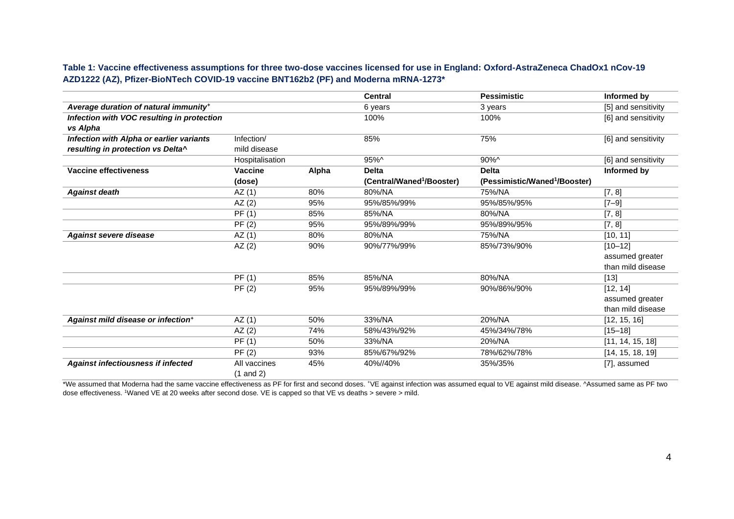**Table 1: Vaccine effectiveness assumptions for three two-dose vaccines licensed for use in England: Oxford-AstraZeneca ChadOx1 nCov-19 AZD1222 (AZ), Pfizer-BioNTech COVID-19 vaccine BNT162b2 (PF) and Moderna mRNA-1273\*** 

|                                                   |                 |       | <b>Central</b>                        | <b>Pessimistic</b>                        | Informed by         |
|---------------------------------------------------|-----------------|-------|---------------------------------------|-------------------------------------------|---------------------|
| Average duration of natural immunity <sup>+</sup> |                 |       | 6 years                               | 3 years                                   | [5] and sensitivity |
| Infection with VOC resulting in protection        |                 |       | 100%                                  | 100%                                      | [6] and sensitivity |
| vs Alpha                                          |                 |       |                                       |                                           |                     |
| Infection with Alpha or earlier variants          | Infection/      |       | 85%                                   | 75%                                       | [6] and sensitivity |
| resulting in protection vs Delta^                 | mild disease    |       |                                       |                                           |                     |
|                                                   | Hospitalisation |       | 95%^                                  | 90%^                                      | [6] and sensitivity |
| Vaccine effectiveness                             | Vaccine         | Alpha | <b>Delta</b>                          | <b>Delta</b>                              | Informed by         |
|                                                   | (dose)          |       | (Central/Waned <sup>1</sup> /Booster) | (Pessimistic/Waned <sup>1</sup> /Booster) |                     |
| <b>Against death</b>                              | AZ(1)           | 80%   | 80%/NA                                | 75%/NA                                    | [7, 8]              |
|                                                   | AZ(2)           | 95%   | 95%/85%/99%                           | 95%/85%/95%                               | $[7 - 9]$           |
|                                                   | PF(1)           | 85%   | 85%/NA                                | 80%/NA                                    | [7, 8]              |
|                                                   | PF(2)           | 95%   | 95%/89%/99%                           | 95%/89%/95%                               | [7, 8]              |
| <b>Against severe disease</b>                     | AZ(1)           | 80%   | 80%/NA                                | 75%/NA                                    | [10, 11]            |
|                                                   | AZ(2)           | 90%   | 90%/77%/99%                           | 85%/73%/90%                               | $[10 - 12]$         |
|                                                   |                 |       |                                       |                                           | assumed greater     |
|                                                   |                 |       |                                       |                                           | than mild disease   |
|                                                   | PF(1)           | 85%   | 85%/NA                                | 80%/NA                                    | $[13]$              |
|                                                   | PF(2)           | 95%   | 95%/89%/99%                           | 90%/86%/90%                               | [12, 14]            |
|                                                   |                 |       |                                       |                                           | assumed greater     |
|                                                   |                 |       |                                       |                                           | than mild disease   |
| Against mild disease or infection <sup>+</sup>    | AZ(1)           | 50%   | 33%/NA                                | 20%/NA                                    | [12, 15, 16]        |
|                                                   | AZ(2)           | 74%   | 58%/43%/92%                           | 45%/34%/78%                               | $[15 - 18]$         |
|                                                   | PF(1)           | 50%   | 33%/NA                                | 20%/NA                                    | [11, 14, 15, 18]    |
|                                                   | PF(2)           | 93%   | 85%/67%/92%                           | 78%/62%/78%                               | [14, 15, 18, 19]    |
| <b>Against infectiousness if infected</b>         | All vaccines    | 45%   | 40%//40%                              | 35%/35%                                   | [7], assumed        |
|                                                   | $(1$ and $2)$   |       |                                       |                                           |                     |

\*We assumed that Moderna had the same vaccine effectiveness as PF for first and second doses. \*VE against infection was assumed equal to VE against mild disease. ^Assumed same as PF two dose effectiveness. <sup>1</sup>Waned VE at 20 weeks after second dose. VE is capped so that VE vs deaths > severe > mild.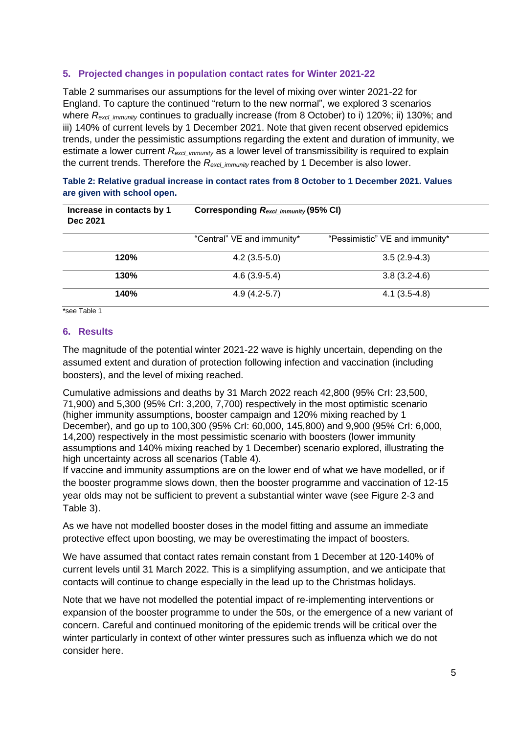### **5. Projected changes in population contact rates for Winter 2021-22**

Table 2 summarises our assumptions for the level of mixing over winter 2021-22 for England. To capture the continued "return to the new normal", we explored 3 scenarios where *R<sub>excl immunity* continues to gradually increase (from 8 October) to i) 120%; ii) 130%; and</sub> iii) 140% of current levels by 1 December 2021. Note that given recent observed epidemics trends, under the pessimistic assumptions regarding the extent and duration of immunity, we estimate a lower current  $R_{excl\_immunity}$  as a lower level of transmissibility is required to explain the current trends. Therefore the *R*<sub>excl</sub> immunity reached by 1 December is also lower.

| Increase in contacts by 1<br>Dec 2021 | Corresponding Rexcl_immunity (95% CI) |                                |  |  |
|---------------------------------------|---------------------------------------|--------------------------------|--|--|
|                                       | "Central" VE and immunity*            | "Pessimistic" VE and immunity* |  |  |
| 120%                                  | $4.2(3.5-5.0)$                        | $3.5(2.9-4.3)$                 |  |  |
| 130%                                  | $4.6(3.9-5.4)$                        | $3.8(3.2 - 4.6)$               |  |  |
| 140%                                  | $4.9(4.2-5.7)$                        | $4.1(3.5-4.8)$                 |  |  |

**Table 2: Relative gradual increase in contact rates from 8 October to 1 December 2021. Values are given with school open.**

\*see Table 1

#### **6. Results**

The magnitude of the potential winter 2021-22 wave is highly uncertain, depending on the assumed extent and duration of protection following infection and vaccination (including boosters), and the level of mixing reached.

Cumulative admissions and deaths by 31 March 2022 reach 42,800 (95% CrI: 23,500, 71,900) and 5,300 (95% CrI: 3,200, 7,700) respectively in the most optimistic scenario (higher immunity assumptions, booster campaign and 120% mixing reached by 1 December), and go up to 100,300 (95% CrI: 60,000, 145,800) and 9,900 (95% CrI: 6,000, 14,200) respectively in the most pessimistic scenario with boosters (lower immunity assumptions and 140% mixing reached by 1 December) scenario explored, illustrating the high uncertainty across all scenarios (Table 4).

If vaccine and immunity assumptions are on the lower end of what we have modelled, or if the booster programme slows down, then the booster programme and vaccination of 12-15 year olds may not be sufficient to prevent a substantial winter wave (see Figure 2-3 and Table 3).

As we have not modelled booster doses in the model fitting and assume an immediate protective effect upon boosting, we may be overestimating the impact of boosters.

We have assumed that contact rates remain constant from 1 December at 120-140% of current levels until 31 March 2022. This is a simplifying assumption, and we anticipate that contacts will continue to change especially in the lead up to the Christmas holidays.

Note that we have not modelled the potential impact of re-implementing interventions or expansion of the booster programme to under the 50s, or the emergence of a new variant of concern. Careful and continued monitoring of the epidemic trends will be critical over the winter particularly in context of other winter pressures such as influenza which we do not consider here.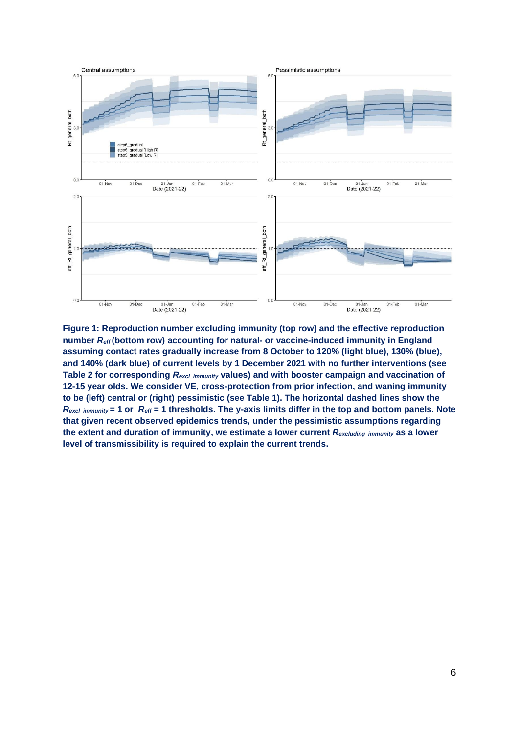

**Figure 1: Reproduction number excluding immunity (top row) and the effective reproduction number** *Reff* **(bottom row) accounting for natural- or vaccine-induced immunity in England assuming contact rates gradually increase from 8 October to 120% (light blue), 130% (blue), and 140% (dark blue) of current levels by 1 December 2021 with no further interventions (see Table 2 for corresponding** *Rexcl\_immunity* **values) and with booster campaign and vaccination of 12-15 year olds. We consider VE, cross-protection from prior infection, and waning immunity to be (left) central or (right) pessimistic (see Table 1). The horizontal dashed lines show the**  *Rexcl\_immunity* **= 1 or** *Reff* **= 1 thresholds. The y-axis limits differ in the top and bottom panels. Note that given recent observed epidemics trends, under the pessimistic assumptions regarding the extent and duration of immunity, we estimate a lower current** *Rexcluding\_immunity* **as a lower level of transmissibility is required to explain the current trends.**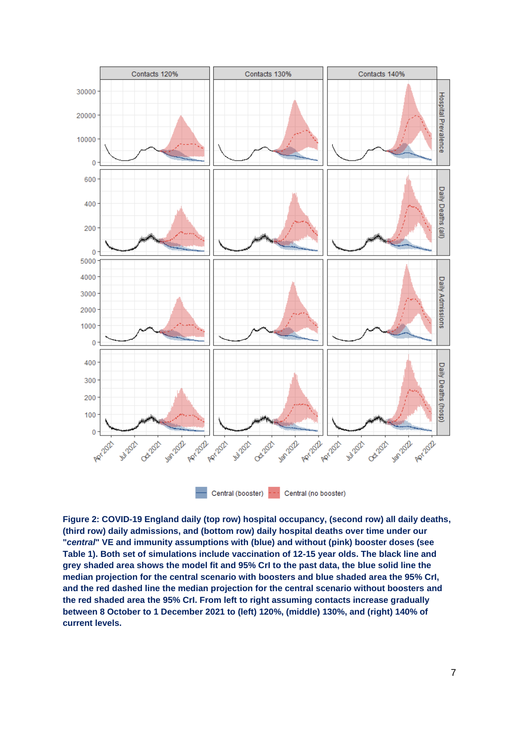

**Figure 2: COVID-19 England daily (top row) hospital occupancy, (second row) all daily deaths, (third row) daily admissions, and (bottom row) daily hospital deaths over time under our "***central***" VE and immunity assumptions with (blue) and without (pink) booster doses (see Table 1). Both set of simulations include vaccination of 12-15 year olds. The black line and grey shaded area shows the model fit and 95% CrI to the past data, the blue solid line the median projection for the central scenario with boosters and blue shaded area the 95% CrI, and the red dashed line the median projection for the central scenario without boosters and the red shaded area the 95% CrI. From left to right assuming contacts increase gradually between 8 October to 1 December 2021 to (left) 120%, (middle) 130%, and (right) 140% of current levels.**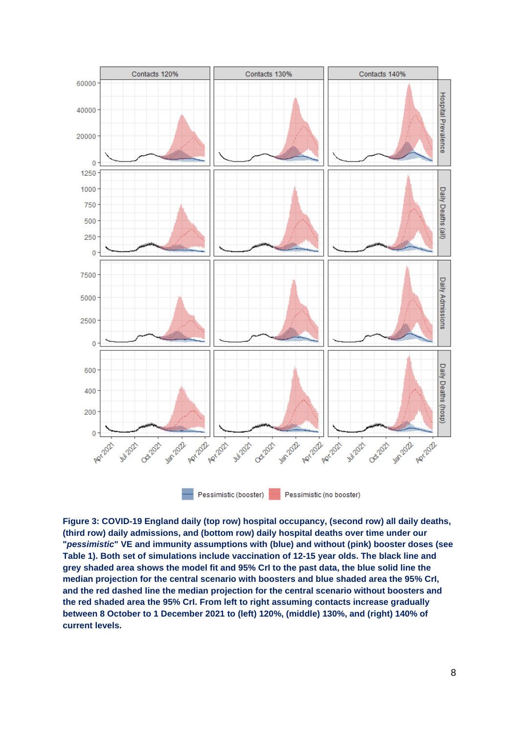

**Figure 3: COVID-19 England daily (top row) hospital occupancy, (second row) all daily deaths, (third row) daily admissions, and (bottom row) daily hospital deaths over time under our "***pessimistic***" VE and immunity assumptions with (blue) and without (pink) booster doses (see Table 1). Both set of simulations include vaccination of 12-15 year olds. The black line and grey shaded area shows the model fit and 95% CrI to the past data, the blue solid line the median projection for the central scenario with boosters and blue shaded area the 95% CrI, and the red dashed line the median projection for the central scenario without boosters and the red shaded area the 95% CrI. From left to right assuming contacts increase gradually between 8 October to 1 December 2021 to (left) 120%, (middle) 130%, and (right) 140% of current levels.**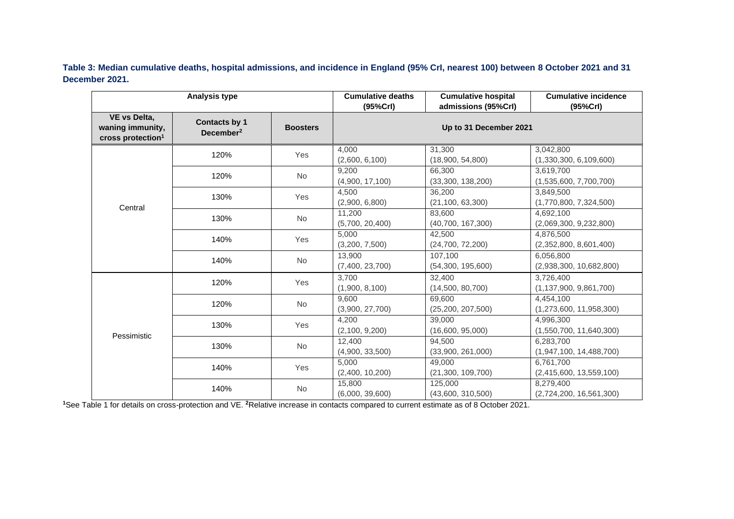**Table 3: Median cumulative deaths, hospital admissions, and incidence in England (95% CrI, nearest 100) between 8 October 2021 and 31 December 2021.**

|                                                                   | <b>Analysis type</b>                          |                 | <b>Cumulative deaths</b><br>(95%Crl) | <b>Cumulative hospital</b><br>admissions (95%Crl) | <b>Cumulative incidence</b><br>(95%Crl) |
|-------------------------------------------------------------------|-----------------------------------------------|-----------------|--------------------------------------|---------------------------------------------------|-----------------------------------------|
| VE vs Delta,<br>waning immunity,<br>cross protection <sup>1</sup> | <b>Contacts by 1</b><br>December <sup>2</sup> | <b>Boosters</b> | Up to 31 December 2021               |                                                   |                                         |
| Central                                                           | 120%                                          | Yes             | 4.000<br>(2,600, 6,100)              | 31.300<br>(18,900, 54,800)                        | 3.042.800<br>(1,330,300, 6,109,600)     |
|                                                                   | 120%                                          | No              | 9,200<br>(4,900, 17,100)             | 66,300<br>(33,300, 138,200)                       | 3,619,700<br>(1,535,600, 7,700,700)     |
|                                                                   | 130%                                          | Yes             | 4,500<br>(2,900, 6,800)              | 36,200<br>(21, 100, 63, 300)                      | 3,849,500<br>(1,770,800, 7,324,500)     |
|                                                                   | 130%                                          | No              | 11,200<br>(5,700, 20,400)            | 83,600<br>(40, 700, 167, 300)                     | 4,692,100<br>(2,069,300, 9,232,800)     |
|                                                                   | 140%                                          | Yes             | 5,000<br>(3,200, 7,500)              | 42.500<br>(24,700, 72,200)                        | 4.876.500<br>(2,352,800, 8,601,400)     |
|                                                                   | 140%                                          | No              | 13,900<br>(7,400, 23,700)            | 107,100<br>(54,300, 195,600)                      | 6,056,800<br>(2,938,300, 10,682,800)    |
|                                                                   | 120%                                          | Yes             | 3.700<br>(1,900, 8,100)              | 32,400<br>(14,500, 80,700)                        | 3.726.400<br>(1, 137, 900, 9, 861, 700) |
|                                                                   | 120%                                          | No              | 9,600<br>(3,900, 27,700)             | 69,600<br>(25, 200, 207, 500)                     | 4.454.100<br>(1,273,600, 11,958,300)    |
| Pessimistic                                                       | 130%                                          | Yes             | 4,200<br>(2,100, 9,200)              | 39,000<br>(16,600, 95,000)                        | 4,996,300<br>(1,550,700, 11,640,300)    |
|                                                                   | 130%                                          | No              | 12,400<br>(4,900, 33,500)            | 94.500<br>(33,900, 261,000)                       | 6.283.700<br>(1,947,100, 14,488,700)    |
|                                                                   | 140%                                          | Yes             | 5,000<br>(2,400, 10,200)             | 49,000<br>(21,300, 109,700)                       | 6.761.700<br>(2,415,600, 13,559,100)    |
|                                                                   | 140%                                          | No              | 15,800<br>(6,000, 39,600)            | 125,000<br>(43,600, 310,500)                      | 8,279,400<br>(2,724,200, 16,561,300)    |

**1**See Table 1 for details on cross-protection and VE. **2**Relative increase in contacts compared to current estimate as of 8 October 2021.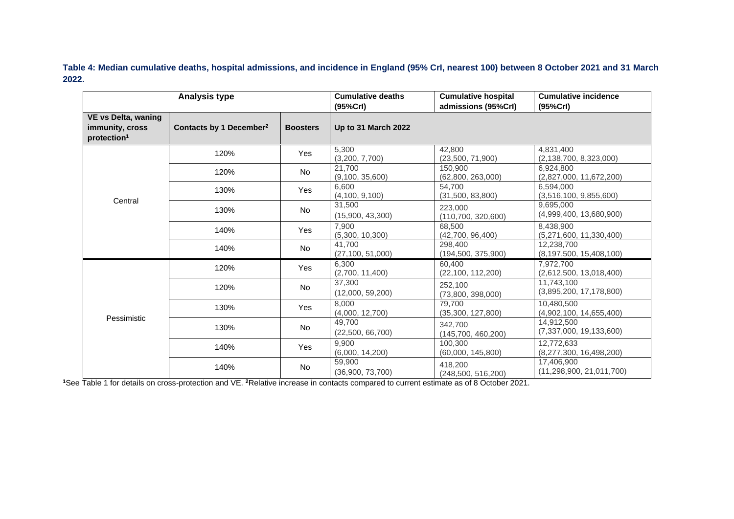**Table 4: Median cumulative deaths, hospital admissions, and incidence in England (95% CrI, nearest 100) between 8 October 2021 and 31 March 2022.** 

| <b>Analysis type</b>                                                     |                                     |                 | <b>Cumulative deaths</b><br>(95%Crl) | <b>Cumulative hospital</b><br>admissions (95%Crl) | <b>Cumulative incidence</b><br>(95%CrI)    |
|--------------------------------------------------------------------------|-------------------------------------|-----------------|--------------------------------------|---------------------------------------------------|--------------------------------------------|
| <b>VE vs Delta, waning</b><br>immunity, cross<br>protection <sup>1</sup> | Contacts by 1 December <sup>2</sup> | <b>Boosters</b> | <b>Up to 31 March 2022</b>           |                                                   |                                            |
|                                                                          | 120%                                | Yes             | 5,300<br>(3,200, 7,700)              | 42.800<br>(23,500, 71,900)                        | 4,831,400<br>(2, 138, 700, 8, 323, 000)    |
|                                                                          | 120%                                | No              | 21.700<br>(9,100, 35,600)            | 150,900<br>(62,800, 263,000)                      | 6.924.800<br>(2,827,000, 11,672,200)       |
|                                                                          | 130%                                | <b>Yes</b>      | 6,600<br>(4, 100, 9, 100)            | 54.700<br>(31,500, 83,800)                        | 6.594.000<br>(3,516,100, 9,855,600)        |
| Central                                                                  | 130%                                | No              | 31,500<br>(15,900, 43,300)           | 223.000<br>(110, 700, 320, 600)                   | 9,695,000<br>(4,999,400, 13,680,900)       |
|                                                                          | 140%                                | <b>Yes</b>      | 7,900<br>(5,300, 10,300)             | 68.500<br>(42,700, 96,400)                        | 8.438.900<br>(5,271,600, 11,330,400)       |
|                                                                          | 140%                                | No              | 41.700<br>(27, 100, 51, 000)         | 298,400<br>(194, 500, 375, 900)                   | 12.238.700<br>(8, 197, 500, 15, 408, 100)  |
| Pessimistic                                                              | 120%                                | Yes             | 6,300<br>(2,700, 11,400)             | 60.400<br>(22, 100, 112, 200)                     | 7.972.700<br>(2,612,500, 13,018,400)       |
|                                                                          | 120%                                | No              | 37,300<br>(12,000, 59,200)           | 252,100<br>(73,800, 398,000)                      | 11.743.100<br>(3,895,200, 17,178,800)      |
|                                                                          | 130%                                | Yes             | 8.000<br>(4,000, 12,700)             | 79.700<br>(35,300, 127,800)                       | 10.480.500<br>(4,902,100, 14,655,400)      |
|                                                                          | 130%                                | <b>No</b>       | 49.700<br>(22,500, 66,700)           | 342,700<br>(145,700, 460,200)                     | 14.912.500<br>(7,337,000, 19,133,600)      |
|                                                                          | 140%                                | Yes             | 9,900<br>(6,000, 14,200)             | 100,300<br>(60,000, 145,800)                      | 12,772,633<br>(8,277,300, 16,498,200)      |
|                                                                          | 140%                                | <b>No</b>       | 59,900<br>(36,900, 73,700)           | 418,200<br>(248, 500, 516, 200)                   | 17,406,900<br>(11, 298, 900, 21, 011, 700) |

**1**See Table 1 for details on cross-protection and VE. **2**Relative increase in contacts compared to current estimate as of 8 October 2021.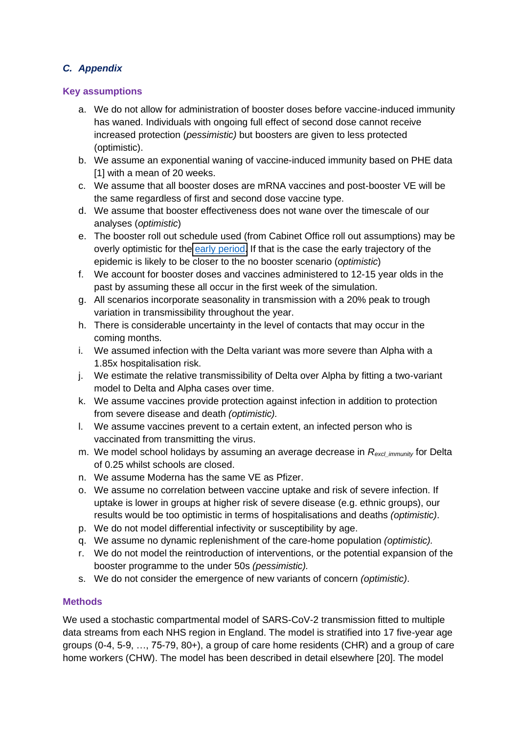# *C. Appendix*

### **Key assumptions**

- a. We do not allow for administration of booster doses before vaccine-induced immunity has waned. Individuals with ongoing full effect of second dose cannot receive increased protection (*pessimistic)* but boosters are given to less protected (optimistic).
- b. We assume an exponential waning of vaccine-induced immunity based on PHE data [1] with a mean of 20 weeks.
- c. We assume that all booster doses are mRNA vaccines and post-booster VE will be the same regardless of first and second dose vaccine type.
- d. We assume that booster effectiveness does not wane over the timescale of our analyses (*optimistic*)
- e. The booster roll out schedule used (from Cabinet Office roll out assumptions) may be overly optimistic for the [early period.](https://www.bbc.co.uk/news/uk-58858042) If that is the case the early trajectory of the epidemic is likely to be closer to the no booster scenario (*optimistic*)
- f. We account for booster doses and vaccines administered to 12-15 year olds in the past by assuming these all occur in the first week of the simulation.
- g. All scenarios incorporate seasonality in transmission with a 20% peak to trough variation in transmissibility throughout the year.
- h. There is considerable uncertainty in the level of contacts that may occur in the coming months.
- i. We assumed infection with the Delta variant was more severe than Alpha with a 1.85x hospitalisation risk.
- j. We estimate the relative transmissibility of Delta over Alpha by fitting a two-variant model to Delta and Alpha cases over time.
- k. We assume vaccines provide protection against infection in addition to protection from severe disease and death *(optimistic).*
- l. We assume vaccines prevent to a certain extent, an infected person who is vaccinated from transmitting the virus.
- m. We model school holidays by assuming an average decrease in *Rexcl\_immunity* for Delta of 0.25 whilst schools are closed.
- n. We assume Moderna has the same VE as Pfizer.
- o. We assume no correlation between vaccine uptake and risk of severe infection. If uptake is lower in groups at higher risk of severe disease (e.g. ethnic groups), our results would be too optimistic in terms of hospitalisations and deaths *(optimistic)*.
- p. We do not model differential infectivity or susceptibility by age.
- q. We assume no dynamic replenishment of the care-home population *(optimistic).*
- r. We do not model the reintroduction of interventions, or the potential expansion of the booster programme to the under 50s *(pessimistic).*
- s. We do not consider the emergence of new variants of concern *(optimistic)*.

### **Methods**

We used a stochastic compartmental model of SARS-CoV-2 transmission fitted to multiple data streams from each NHS region in England. The model is stratified into 17 five-year age groups (0-4, 5-9, …, 75-79, 80+), a group of care home residents (CHR) and a group of care home workers (CHW). The model has been described in detail elsewhere [20]. The model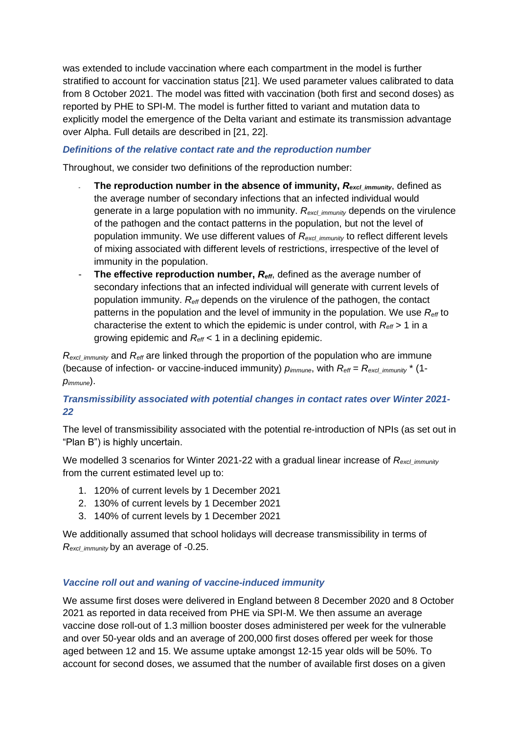was extended to include vaccination where each compartment in the model is further stratified to account for vaccination status [21]. We used parameter values calibrated to data from 8 October 2021. The model was fitted with vaccination (both first and second doses) as reported by PHE to SPI-M. The model is further fitted to variant and mutation data to explicitly model the emergence of the Delta variant and estimate its transmission advantage over Alpha. Full details are described in [21, 22].

### *Definitions of the relative contact rate and the reproduction number*

Throughout, we consider two definitions of the reproduction number:

- **The reproduction number in the absence of immunity,**  $R_{\text{excl\,immunity}}$ **, defined as** the average number of secondary infections that an infected individual would generate in a large population with no immunity. *Rexcl\_immunity* depends on the virulence of the pathogen and the contact patterns in the population, but not the level of population immunity. We use different values of *R<sub>excl\_immunity* to reflect different levels</sub> of mixing associated with different levels of restrictions, irrespective of the level of immunity in the population.
- **The effective reproduction number,**  $R_{\text{eff}}$ , defined as the average number of secondary infections that an infected individual will generate with current levels of population immunity. *Reff* depends on the virulence of the pathogen, the contact patterns in the population and the level of immunity in the population. We use *Reff* to characterise the extent to which the epidemic is under control, with *Reff* > 1 in a growing epidemic and *Reff* < 1 in a declining epidemic.

*Rexcl\_immunity* and *Reff* are linked through the proportion of the population who are immune (because of infection- or vaccine-induced immunity)  $p_{immune}$ , with  $R_{\text{eff}} = R_{\text{excl-immunit}} * (1$ *pimmune*).

### *Transmissibility associated with potential changes in contact rates over Winter 2021- 22*

The level of transmissibility associated with the potential re-introduction of NPIs (as set out in "Plan B") is highly uncertain.

We modelled 3 scenarios for Winter 2021-22 with a gradual linear increase of *Rexcl\_immunity* from the current estimated level up to:

- 1. 120% of current levels by 1 December 2021
- 2. 130% of current levels by 1 December 2021
- 3. 140% of current levels by 1 December 2021

We additionally assumed that school holidays will decrease transmissibility in terms of *Rexcl\_immunity* by an average of -0.25.

#### *Vaccine roll out and waning of vaccine-induced immunity*

We assume first doses were delivered in England between 8 December 2020 and 8 October 2021 as reported in data received from PHE via SPI-M. We then assume an average vaccine dose roll-out of 1.3 million booster doses administered per week for the vulnerable and over 50-year olds and an average of 200,000 first doses offered per week for those aged between 12 and 15. We assume uptake amongst 12-15 year olds will be 50%. To account for second doses, we assumed that the number of available first doses on a given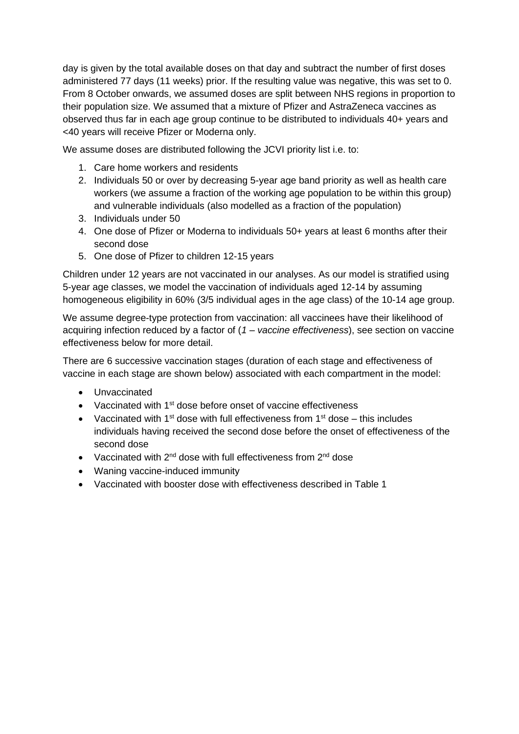day is given by the total available doses on that day and subtract the number of first doses administered 77 days (11 weeks) prior. If the resulting value was negative, this was set to 0. From 8 October onwards, we assumed doses are split between NHS regions in proportion to their population size. We assumed that a mixture of Pfizer and AstraZeneca vaccines as observed thus far in each age group continue to be distributed to individuals 40+ years and <40 years will receive Pfizer or Moderna only.

We assume doses are distributed following the JCVI priority list i.e. to:

- 1. Care home workers and residents
- 2. Individuals 50 or over by decreasing 5-year age band priority as well as health care workers (we assume a fraction of the working age population to be within this group) and vulnerable individuals (also modelled as a fraction of the population)
- 3. Individuals under 50
- 4. One dose of Pfizer or Moderna to individuals 50+ years at least 6 months after their second dose
- 5. One dose of Pfizer to children 12-15 years

Children under 12 years are not vaccinated in our analyses. As our model is stratified using 5-year age classes, we model the vaccination of individuals aged 12-14 by assuming homogeneous eligibility in 60% (3/5 individual ages in the age class) of the 10-14 age group.

We assume degree-type protection from vaccination: all vaccinees have their likelihood of acquiring infection reduced by a factor of (*1 – vaccine effectiveness*), see section on vaccine effectiveness below for more detail.

There are 6 successive vaccination stages (duration of each stage and effectiveness of vaccine in each stage are shown below) associated with each compartment in the model:

- Unvaccinated
- Vaccinated with 1<sup>st</sup> dose before onset of vaccine effectiveness
- Vaccinated with 1<sup>st</sup> dose with full effectiveness from  $1<sup>st</sup>$  dose this includes individuals having received the second dose before the onset of effectiveness of the second dose
- Vaccinated with  $2^{nd}$  dose with full effectiveness from  $2^{nd}$  dose
- Waning vaccine-induced immunity
- Vaccinated with booster dose with effectiveness described in Table 1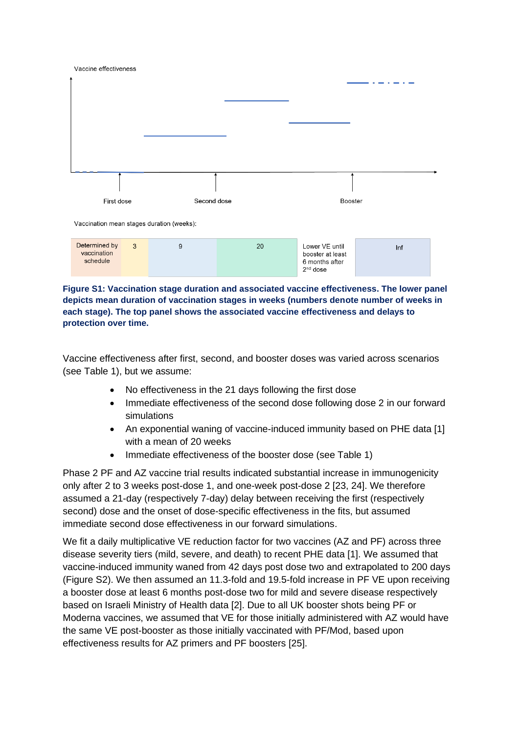| Vaccine effectiveness                     |              |         |    |                                                                    |     |  |
|-------------------------------------------|--------------|---------|----|--------------------------------------------------------------------|-----|--|
|                                           |              |         |    |                                                                    |     |  |
|                                           |              |         |    |                                                                    |     |  |
|                                           |              |         |    |                                                                    |     |  |
|                                           |              |         |    |                                                                    |     |  |
|                                           |              |         |    |                                                                    |     |  |
|                                           |              |         |    |                                                                    |     |  |
|                                           |              |         |    |                                                                    |     |  |
|                                           |              |         |    |                                                                    |     |  |
|                                           |              |         |    |                                                                    |     |  |
| Second dose<br>First dose                 |              | Booster |    |                                                                    |     |  |
|                                           |              |         |    |                                                                    |     |  |
| Vaccination mean stages duration (weeks): |              |         |    |                                                                    |     |  |
| Determined by<br>vaccination<br>schedule  | $\mathbf{3}$ | 9       | 20 | Lower VE until<br>booster at least<br>6 months after<br>$2nd$ dose | Inf |  |

**Figure S1: Vaccination stage duration and associated vaccine effectiveness. The lower panel depicts mean duration of vaccination stages in weeks (numbers denote number of weeks in each stage). The top panel shows the associated vaccine effectiveness and delays to protection over time.** 

Vaccine effectiveness after first, second, and booster doses was varied across scenarios (see Table 1), but we assume:

- No effectiveness in the 21 days following the first dose
- Immediate effectiveness of the second dose following dose 2 in our forward simulations
- An exponential waning of vaccine-induced immunity based on PHE data [1] with a mean of 20 weeks
- Immediate effectiveness of the booster dose (see Table 1)

Phase 2 PF and AZ vaccine trial results indicated substantial increase in immunogenicity only after 2 to 3 weeks post-dose 1, and one-week post-dose 2 [23, 24]. We therefore assumed a 21-day (respectively 7-day) delay between receiving the first (respectively second) dose and the onset of dose-specific effectiveness in the fits, but assumed immediate second dose effectiveness in our forward simulations.

We fit a daily multiplicative VE reduction factor for two vaccines (AZ and PF) across three disease severity tiers (mild, severe, and death) to recent PHE data [1]. We assumed that vaccine-induced immunity waned from 42 days post dose two and extrapolated to 200 days (Figure S2). We then assumed an 11.3-fold and 19.5-fold increase in PF VE upon receiving a booster dose at least 6 months post-dose two for mild and severe disease respectively based on Israeli Ministry of Health data [2]. Due to all UK booster shots being PF or Moderna vaccines, we assumed that VE for those initially administered with AZ would have the same VE post-booster as those initially vaccinated with PF/Mod, based upon effectiveness results for AZ primers and PF boosters [25].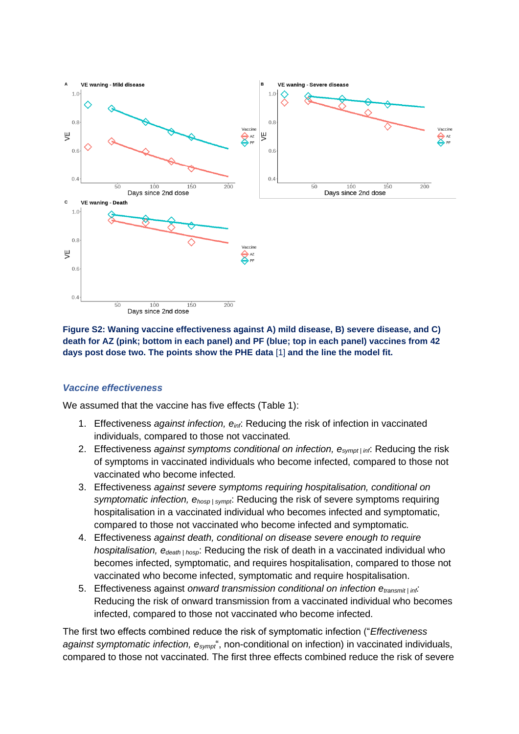

**Figure S2: Waning vaccine effectiveness against A) mild disease, B) severe disease, and C) death for AZ (pink; bottom in each panel) and PF (blue; top in each panel) vaccines from 42 days post dose two. The points show the PHE data** [1] **and the line the model fit.**

#### *Vaccine effectiveness*

We assumed that the vaccine has five effects (Table 1):

- 1. Effectiveness *against infection, einf*: Reducing the risk of infection in vaccinated individuals, compared to those not vaccinated*.*
- 2. Effectiveness *against symptoms conditional on infection, esympt | inf*: Reducing the risk of symptoms in vaccinated individuals who become infected, compared to those not vaccinated who become infected*.*
- 3. Effectiveness *against severe symptoms requiring hospitalisation, conditional on symptomatic infection, ehosp | sympt*: Reducing the risk of severe symptoms requiring hospitalisation in a vaccinated individual who becomes infected and symptomatic, compared to those not vaccinated who become infected and symptomatic*.*
- 4. Effectiveness *against death, conditional on disease severe enough to require hospitalisation, edeath | hosp*: Reducing the risk of death in a vaccinated individual who becomes infected, symptomatic, and requires hospitalisation, compared to those not vaccinated who become infected, symptomatic and require hospitalisation.
- 5. Effectiveness against *onward transmission conditional on infection etransmit | inf:*  Reducing the risk of onward transmission from a vaccinated individual who becomes infected, compared to those not vaccinated who become infected.

The first two effects combined reduce the risk of symptomatic infection ("*Effectiveness against symptomatic infection, esympt*", non-conditional on infection) in vaccinated individuals, compared to those not vaccinated*.* The first three effects combined reduce the risk of severe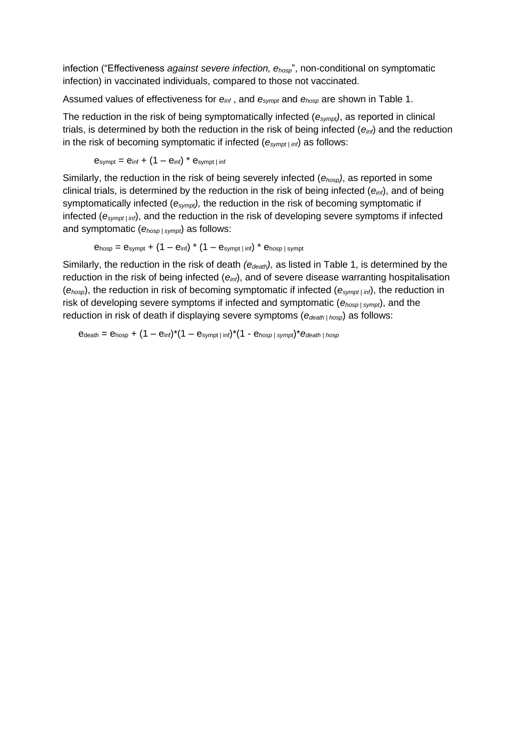infection ("Effectiveness *against severe infection, ehosp*", non-conditional on symptomatic infection) in vaccinated individuals, compared to those not vaccinated*.*

Assumed values of effectiveness for *einf* , and *esympt* and *ehosp* are shown in Table 1.

The reduction in the risk of being symptomatically infected (*esympt)*, as reported in clinical trials, is determined by both the reduction in the risk of being infected (*einf*) and the reduction in the risk of becoming symptomatic if infected (*esympt | inf*) as follows:

$$
e_{sympt}=e_{inf}+(1-e_{inf})^{*}e_{sympt\,|\,inf}
$$

Similarly, the reduction in the risk of being severely infected (*ehosp)*, as reported in some clinical trials, is determined by the reduction in the risk of being infected (*einf*), and of being symptomatically infected (*esympt),* the reduction in the risk of becoming symptomatic if infected (*esympt | inf*), and the reduction in the risk of developing severe symptoms if infected and symptomatic (*ehosp | sympt*) as follows:

$$
e_{\text{hosp}} = e_{\text{sympt}} + (1 - e_{\text{inf}}) * (1 - e_{\text{sympt}}) * e_{\text{hosp}} \, \text{sympt}
$$

Similarly, the reduction in the risk of death *(edeath),* as listed in Table 1, is determined by the reduction in the risk of being infected (*einf*), and of severe disease warranting hospitalisation (*ehosp*), the reduction in risk of becoming symptomatic if infected (*esympt | inf*), the reduction in risk of developing severe symptoms if infected and symptomatic (*ehosp | sympt*), and the reduction in risk of death if displaying severe symptoms (*edeath | hosp*) as follows:

 $e_{death} = e_{hosp} + (1 - e_{inf})^*(1 - e_{sympt} \cdot \text{inf})^*(1 - e_{hosp} \cdot \text{sympt})^* e_{death} \cdot \text{hosp}$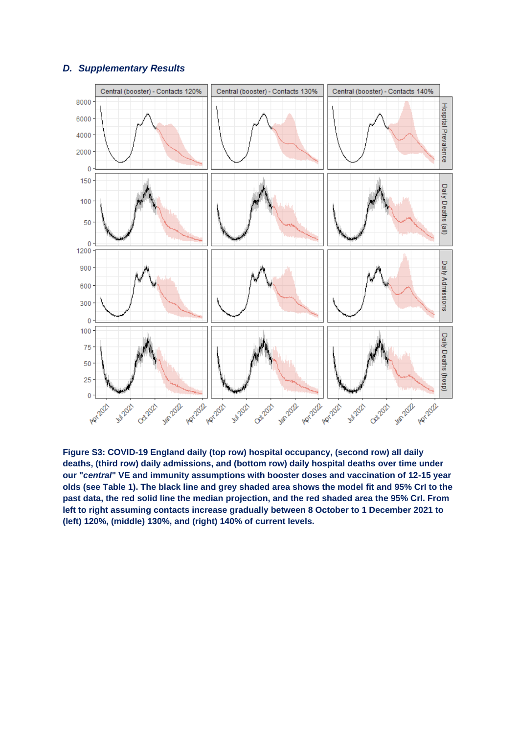#### *D. Supplementary Results*



**Figure S3: COVID-19 England daily (top row) hospital occupancy, (second row) all daily deaths, (third row) daily admissions, and (bottom row) daily hospital deaths over time under our "***central***" VE and immunity assumptions with booster doses and vaccination of 12-15 year olds (see Table 1). The black line and grey shaded area shows the model fit and 95% CrI to the past data, the red solid line the median projection, and the red shaded area the 95% CrI. From left to right assuming contacts increase gradually between 8 October to 1 December 2021 to (left) 120%, (middle) 130%, and (right) 140% of current levels.**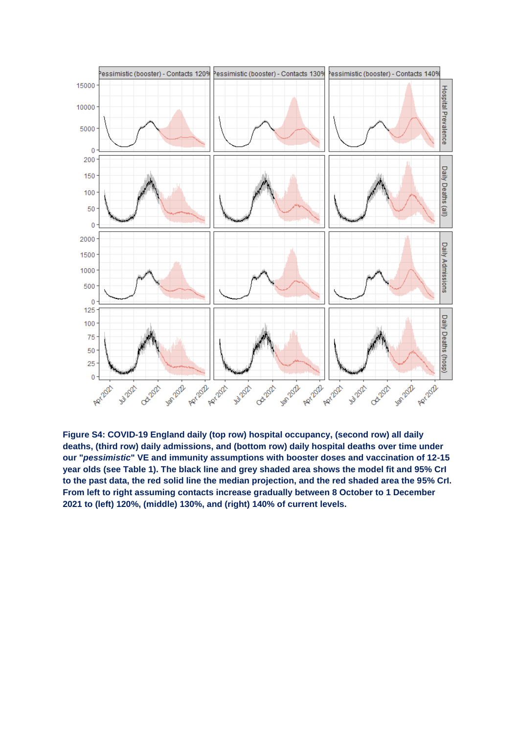

**Figure S4: COVID-19 England daily (top row) hospital occupancy, (second row) all daily deaths, (third row) daily admissions, and (bottom row) daily hospital deaths over time under our "***pessimistic***" VE and immunity assumptions with booster doses and vaccination of 12-15 year olds (see Table 1). The black line and grey shaded area shows the model fit and 95% CrI to the past data, the red solid line the median projection, and the red shaded area the 95% CrI. From left to right assuming contacts increase gradually between 8 October to 1 December 2021 to (left) 120%, (middle) 130%, and (right) 140% of current levels.**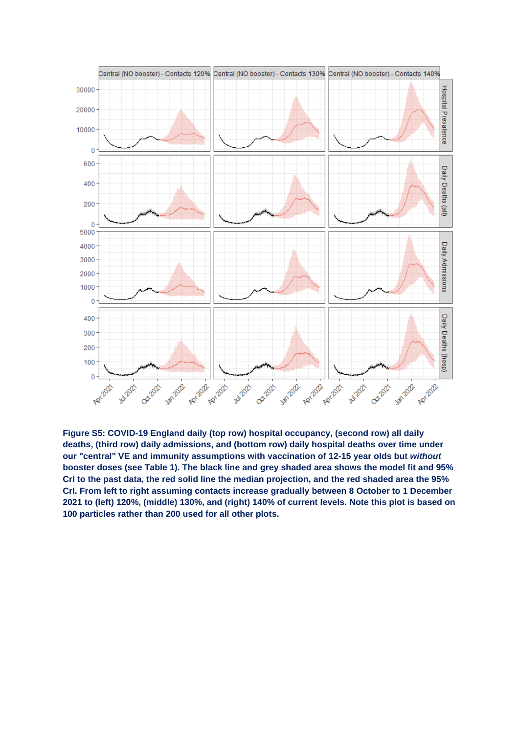

**Figure S5: COVID-19 England daily (top row) hospital occupancy, (second row) all daily deaths, (third row) daily admissions, and (bottom row) daily hospital deaths over time under our "central" VE and immunity assumptions with vaccination of 12-15 year olds but** *without* **booster doses (see Table 1). The black line and grey shaded area shows the model fit and 95% CrI to the past data, the red solid line the median projection, and the red shaded area the 95% CrI. From left to right assuming contacts increase gradually between 8 October to 1 December 2021 to (left) 120%, (middle) 130%, and (right) 140% of current levels. Note this plot is based on 100 particles rather than 200 used for all other plots.**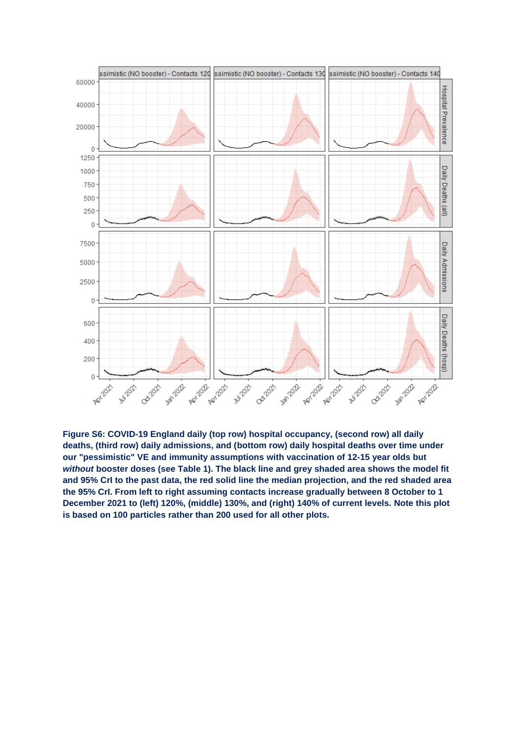

**Figure S6: COVID-19 England daily (top row) hospital occupancy, (second row) all daily deaths, (third row) daily admissions, and (bottom row) daily hospital deaths over time under our "pessimistic" VE and immunity assumptions with vaccination of 12-15 year olds but**  *without* **booster doses (see Table 1). The black line and grey shaded area shows the model fit and 95% CrI to the past data, the red solid line the median projection, and the red shaded area the 95% CrI. From left to right assuming contacts increase gradually between 8 October to 1 December 2021 to (left) 120%, (middle) 130%, and (right) 140% of current levels. Note this plot is based on 100 particles rather than 200 used for all other plots.**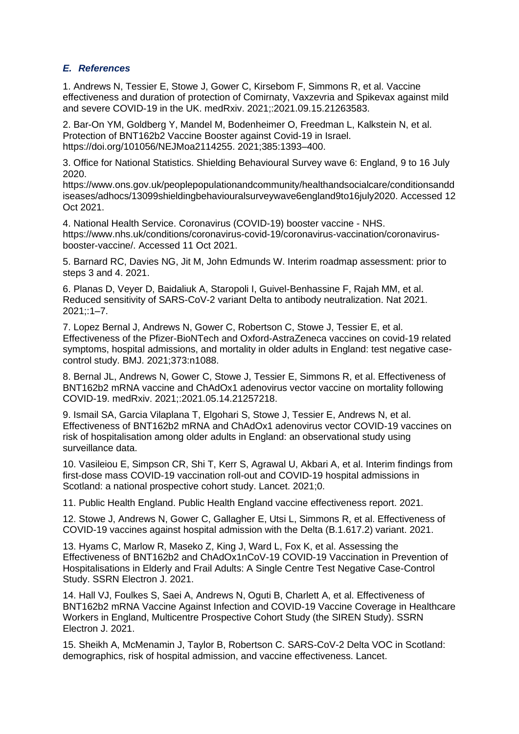#### *E. References*

1. Andrews N, Tessier E, Stowe J, Gower C, Kirsebom F, Simmons R, et al. Vaccine effectiveness and duration of protection of Comirnaty, Vaxzevria and Spikevax against mild and severe COVID-19 in the UK. medRxiv. 2021;:2021.09.15.21263583.

2. Bar-On YM, Goldberg Y, Mandel M, Bodenheimer O, Freedman L, Kalkstein N, et al. Protection of BNT162b2 Vaccine Booster against Covid-19 in Israel. https://doi.org/101056/NEJMoa2114255. 2021;385:1393–400.

3. Office for National Statistics. Shielding Behavioural Survey wave 6: England, 9 to 16 July 2020.

https://www.ons.gov.uk/peoplepopulationandcommunity/healthandsocialcare/conditionsandd iseases/adhocs/13099shieldingbehaviouralsurveywave6england9to16july2020. Accessed 12 Oct 2021.

4. National Health Service. Coronavirus (COVID-19) booster vaccine - NHS. https://www.nhs.uk/conditions/coronavirus-covid-19/coronavirus-vaccination/coronavirusbooster-vaccine/. Accessed 11 Oct 2021.

5. Barnard RC, Davies NG, Jit M, John Edmunds W. Interim roadmap assessment: prior to steps 3 and 4. 2021.

6. Planas D, Veyer D, Baidaliuk A, Staropoli I, Guivel-Benhassine F, Rajah MM, et al. Reduced sensitivity of SARS-CoV-2 variant Delta to antibody neutralization. Nat 2021. 2021;:1–7.

7. Lopez Bernal J, Andrews N, Gower C, Robertson C, Stowe J, Tessier E, et al. Effectiveness of the Pfizer-BioNTech and Oxford-AstraZeneca vaccines on covid-19 related symptoms, hospital admissions, and mortality in older adults in England: test negative casecontrol study. BMJ. 2021;373:n1088.

8. Bernal JL, Andrews N, Gower C, Stowe J, Tessier E, Simmons R, et al. Effectiveness of BNT162b2 mRNA vaccine and ChAdOx1 adenovirus vector vaccine on mortality following COVID-19. medRxiv. 2021;:2021.05.14.21257218.

9. Ismail SA, Garcia Vilaplana T, Elgohari S, Stowe J, Tessier E, Andrews N, et al. Effectiveness of BNT162b2 mRNA and ChAdOx1 adenovirus vector COVID-19 vaccines on risk of hospitalisation among older adults in England: an observational study using surveillance data.

10. Vasileiou E, Simpson CR, Shi T, Kerr S, Agrawal U, Akbari A, et al. Interim findings from first-dose mass COVID-19 vaccination roll-out and COVID-19 hospital admissions in Scotland: a national prospective cohort study. Lancet. 2021;0.

11. Public Health England. Public Health England vaccine effectiveness report. 2021.

12. Stowe J, Andrews N, Gower C, Gallagher E, Utsi L, Simmons R, et al. Effectiveness of COVID-19 vaccines against hospital admission with the Delta (B.1.617.2) variant. 2021.

13. Hyams C, Marlow R, Maseko Z, King J, Ward L, Fox K, et al. Assessing the Effectiveness of BNT162b2 and ChAdOx1nCoV-19 COVID-19 Vaccination in Prevention of Hospitalisations in Elderly and Frail Adults: A Single Centre Test Negative Case-Control Study. SSRN Electron J. 2021.

14. Hall VJ, Foulkes S, Saei A, Andrews N, Oguti B, Charlett A, et al. Effectiveness of BNT162b2 mRNA Vaccine Against Infection and COVID-19 Vaccine Coverage in Healthcare Workers in England, Multicentre Prospective Cohort Study (the SIREN Study). SSRN Electron J. 2021.

15. Sheikh A, McMenamin J, Taylor B, Robertson C. SARS-CoV-2 Delta VOC in Scotland: demographics, risk of hospital admission, and vaccine effectiveness. Lancet.